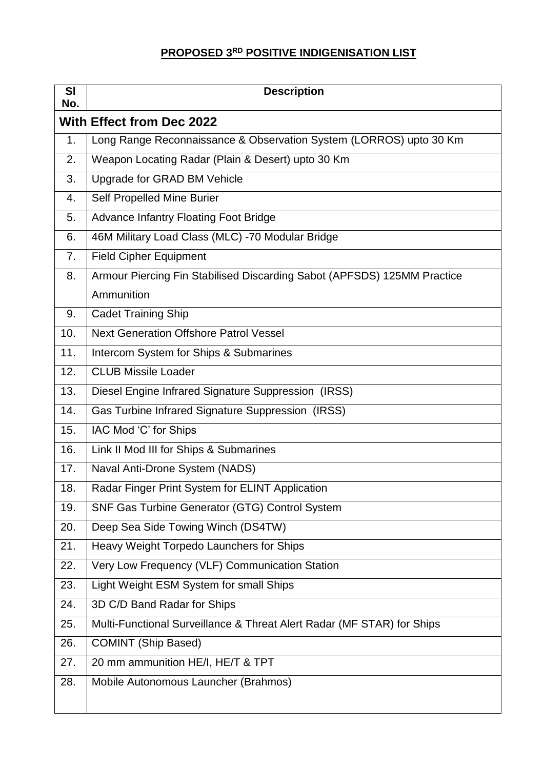## **PROPOSED 3 RD POSITIVE INDIGENISATION LIST**

| SI<br>No.                        | <b>Description</b>                                                      |  |
|----------------------------------|-------------------------------------------------------------------------|--|
| <b>With Effect from Dec 2022</b> |                                                                         |  |
| 1.                               | Long Range Reconnaissance & Observation System (LORROS) upto 30 Km      |  |
| 2.                               | Weapon Locating Radar (Plain & Desert) upto 30 Km                       |  |
| 3.                               | Upgrade for GRAD BM Vehicle                                             |  |
| 4.                               | Self Propelled Mine Burier                                              |  |
| 5.                               | <b>Advance Infantry Floating Foot Bridge</b>                            |  |
| 6.                               | 46M Military Load Class (MLC) -70 Modular Bridge                        |  |
| 7.                               | <b>Field Cipher Equipment</b>                                           |  |
| 8.                               | Armour Piercing Fin Stabilised Discarding Sabot (APFSDS) 125MM Practice |  |
|                                  | Ammunition                                                              |  |
| 9.                               | <b>Cadet Training Ship</b>                                              |  |
| 10.                              | <b>Next Generation Offshore Patrol Vessel</b>                           |  |
| 11.                              | Intercom System for Ships & Submarines                                  |  |
| 12.                              | <b>CLUB Missile Loader</b>                                              |  |
| 13.                              | Diesel Engine Infrared Signature Suppression (IRSS)                     |  |
| 14.                              | Gas Turbine Infrared Signature Suppression (IRSS)                       |  |
| 15.                              | IAC Mod 'C' for Ships                                                   |  |
| 16.                              | Link II Mod III for Ships & Submarines                                  |  |
| 17.                              | Naval Anti-Drone System (NADS)                                          |  |
| 18.                              | Radar Finger Print System for ELINT Application                         |  |
| 19.                              | SNF Gas Turbine Generator (GTG) Control System                          |  |
| 20.                              | Deep Sea Side Towing Winch (DS4TW)                                      |  |
| 21.                              | Heavy Weight Torpedo Launchers for Ships                                |  |
| 22.                              | Very Low Frequency (VLF) Communication Station                          |  |
| 23.                              | Light Weight ESM System for small Ships                                 |  |
| 24.                              | 3D C/D Band Radar for Ships                                             |  |
| 25.                              | Multi-Functional Surveillance & Threat Alert Radar (MF STAR) for Ships  |  |
| 26.                              | <b>COMINT (Ship Based)</b>                                              |  |
| 27.                              | 20 mm ammunition HE/I, HE/T & TPT                                       |  |
| 28.                              | Mobile Autonomous Launcher (Brahmos)                                    |  |
|                                  |                                                                         |  |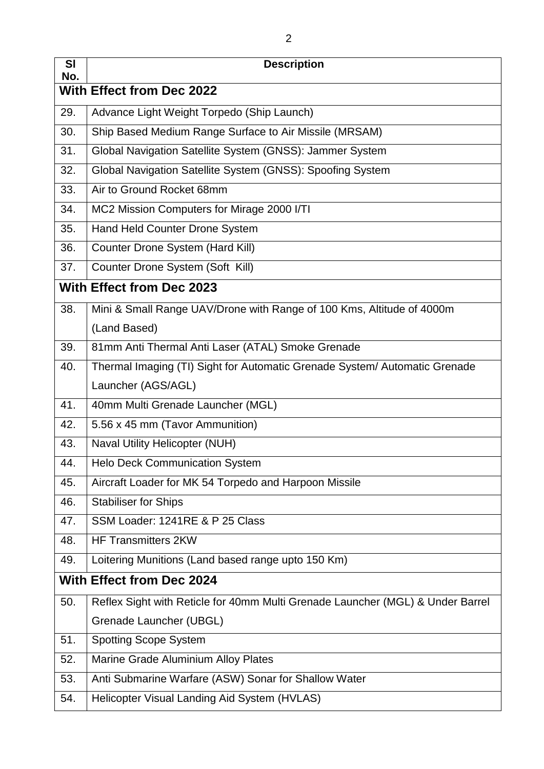| <b>SI</b><br>No.                 | <b>Description</b>                                                             |  |
|----------------------------------|--------------------------------------------------------------------------------|--|
|                                  | <b>With Effect from Dec 2022</b>                                               |  |
| 29.                              | Advance Light Weight Torpedo (Ship Launch)                                     |  |
| 30.                              | Ship Based Medium Range Surface to Air Missile (MRSAM)                         |  |
| 31.                              | Global Navigation Satellite System (GNSS): Jammer System                       |  |
| 32.                              | Global Navigation Satellite System (GNSS): Spoofing System                     |  |
| 33.                              | Air to Ground Rocket 68mm                                                      |  |
| 34.                              | MC2 Mission Computers for Mirage 2000 I/TI                                     |  |
| 35.                              | Hand Held Counter Drone System                                                 |  |
| 36.                              | Counter Drone System (Hard Kill)                                               |  |
| 37.                              | Counter Drone System (Soft Kill)                                               |  |
| <b>With Effect from Dec 2023</b> |                                                                                |  |
| 38.                              | Mini & Small Range UAV/Drone with Range of 100 Kms, Altitude of 4000m          |  |
|                                  | (Land Based)                                                                   |  |
| 39.                              | 81mm Anti Thermal Anti Laser (ATAL) Smoke Grenade                              |  |
| 40.                              | Thermal Imaging (TI) Sight for Automatic Grenade System/ Automatic Grenade     |  |
|                                  | Launcher (AGS/AGL)                                                             |  |
| 41.                              | 40mm Multi Grenade Launcher (MGL)                                              |  |
| 42.                              | 5.56 x 45 mm (Tavor Ammunition)                                                |  |
| 43.                              | Naval Utility Helicopter (NUH)                                                 |  |
| 44.                              | <b>Helo Deck Communication System</b>                                          |  |
| 45.                              | Aircraft Loader for MK 54 Torpedo and Harpoon Missile                          |  |
| 46.                              | <b>Stabiliser for Ships</b>                                                    |  |
| 47.                              | SSM Loader: 1241RE & P 25 Class                                                |  |
| 48.                              | <b>HF Transmitters 2KW</b>                                                     |  |
| 49.                              | Loitering Munitions (Land based range upto 150 Km)                             |  |
| <b>With Effect from Dec 2024</b> |                                                                                |  |
| 50.                              | Reflex Sight with Reticle for 40mm Multi Grenade Launcher (MGL) & Under Barrel |  |
|                                  | Grenade Launcher (UBGL)                                                        |  |
| 51.                              | <b>Spotting Scope System</b>                                                   |  |
| 52.                              | Marine Grade Aluminium Alloy Plates                                            |  |
| 53.                              | Anti Submarine Warfare (ASW) Sonar for Shallow Water                           |  |
| 54.                              | Helicopter Visual Landing Aid System (HVLAS)                                   |  |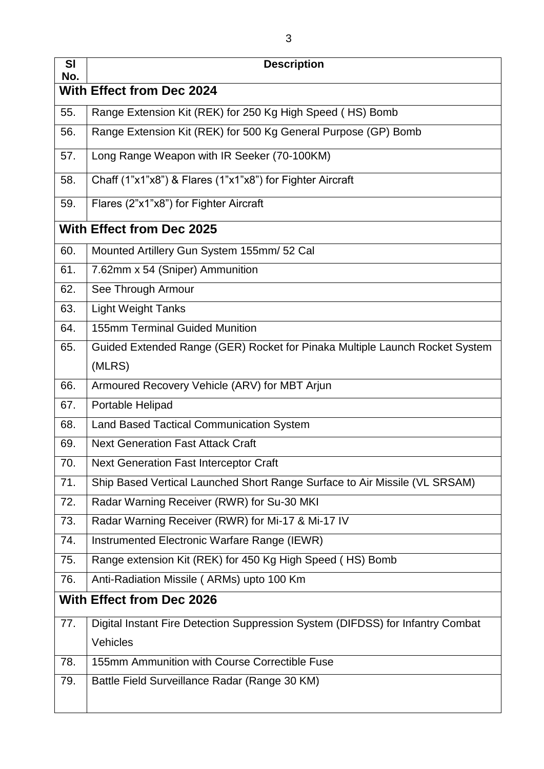| <b>SI</b><br>No.                 | <b>Description</b>                                                             |  |
|----------------------------------|--------------------------------------------------------------------------------|--|
|                                  | <b>With Effect from Dec 2024</b>                                               |  |
| 55.                              | Range Extension Kit (REK) for 250 Kg High Speed (HS) Bomb                      |  |
| 56.                              | Range Extension Kit (REK) for 500 Kg General Purpose (GP) Bomb                 |  |
| 57.                              | Long Range Weapon with IR Seeker (70-100KM)                                    |  |
| 58.                              | Chaff (1"x1"x8") & Flares (1"x1"x8") for Fighter Aircraft                      |  |
| 59.                              | Flares (2"x1"x8") for Fighter Aircraft                                         |  |
| <b>With Effect from Dec 2025</b> |                                                                                |  |
| 60.                              | Mounted Artillery Gun System 155mm/ 52 Cal                                     |  |
| 61.                              | 7.62mm x 54 (Sniper) Ammunition                                                |  |
| 62.                              | See Through Armour                                                             |  |
| 63.                              | <b>Light Weight Tanks</b>                                                      |  |
| 64.                              | <b>155mm Terminal Guided Munition</b>                                          |  |
| 65.                              | Guided Extended Range (GER) Rocket for Pinaka Multiple Launch Rocket System    |  |
|                                  | (MLRS)                                                                         |  |
| 66.                              | Armoured Recovery Vehicle (ARV) for MBT Arjun                                  |  |
| 67.                              | Portable Helipad                                                               |  |
| 68.                              | <b>Land Based Tactical Communication System</b>                                |  |
| 69.                              | <b>Next Generation Fast Attack Craft</b>                                       |  |
| 70.                              | <b>Next Generation Fast Interceptor Craft</b>                                  |  |
| 71.                              | Ship Based Vertical Launched Short Range Surface to Air Missile (VL SRSAM)     |  |
| 72.                              | Radar Warning Receiver (RWR) for Su-30 MKI                                     |  |
| 73.                              | Radar Warning Receiver (RWR) for Mi-17 & Mi-17 IV                              |  |
| 74.                              | Instrumented Electronic Warfare Range (IEWR)                                   |  |
| 75.                              | Range extension Kit (REK) for 450 Kg High Speed (HS) Bomb                      |  |
| 76.                              | Anti-Radiation Missile (ARMs) upto 100 Km                                      |  |
|                                  | <b>With Effect from Dec 2026</b>                                               |  |
| 77.                              | Digital Instant Fire Detection Suppression System (DIFDSS) for Infantry Combat |  |
|                                  | Vehicles                                                                       |  |
| 78.                              | 155mm Ammunition with Course Correctible Fuse                                  |  |
| 79.                              | Battle Field Surveillance Radar (Range 30 KM)                                  |  |
|                                  |                                                                                |  |